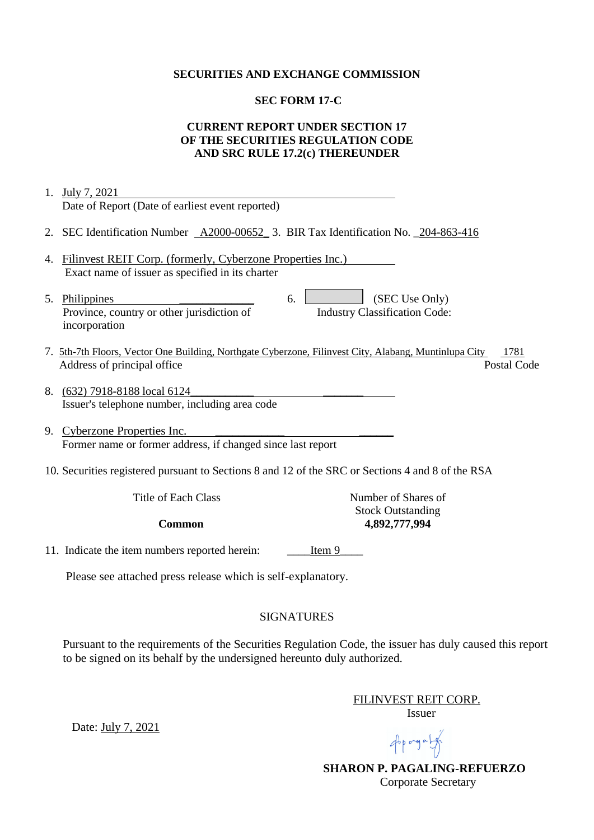### **SECURITIES AND EXCHANGE COMMISSION**

## **SEC FORM 17-C**

# **CURRENT REPORT UNDER SECTION 17 OF THE SECURITIES REGULATION CODE AND SRC RULE 17.2(c) THEREUNDER**

| 1. | July 7, 2021                                                                                                  |
|----|---------------------------------------------------------------------------------------------------------------|
|    | Date of Report (Date of earliest event reported)                                                              |
|    | 2. SEC Identification Number <u>A2000-00652</u> 3. BIR Tax Identification No. 204-863-416                     |
| 4. | Filinvest REIT Corp. (formerly, Cyberzone Properties Inc.)                                                    |
|    | Exact name of issuer as specified in its charter                                                              |
|    | (SEC Use Only)<br>5. Philippines<br>6.                                                                        |
|    | Province, country or other jurisdiction of<br><b>Industry Classification Code:</b>                            |
|    | incorporation                                                                                                 |
|    | 7. 5th-7th Floors, Vector One Building, Northgate Cyberzone, Filinvest City, Alabang, Muntinlupa City<br>1781 |
|    | Address of principal office<br>Postal Code                                                                    |
|    |                                                                                                               |
|    | 8. (632) 7918-8188 local 6124                                                                                 |
|    | Issuer's telephone number, including area code                                                                |
|    | 9. Cyberzone Properties Inc.                                                                                  |
|    | Former name or former address, if changed since last report                                                   |
|    | 10. Securities registered pursuant to Sections 8 and 12 of the SRC or Sections 4 and 8 of the RSA             |
|    | <b>Title of Each Class</b><br>Number of Shares of                                                             |
|    | <b>Stock Outstanding</b><br>4,892,777,994<br><b>Common</b>                                                    |
|    |                                                                                                               |
|    | 11. Indicate the item numbers reported herein:<br>Item 9                                                      |
|    | Please see attached press release which is self-explanatory.                                                  |
|    | <b>SIGNATURES</b>                                                                                             |

Pursuant to the requirements of the Securities Regulation Code, the issuer has duly caused this report to be signed on its behalf by the undersigned hereunto duly authorized.

> FILINVEST REIT CORP. Issuer

Appropriate

 **SHARON P. PAGALING-REFUERZO** Corporate Secretary

Date: July 7, 2021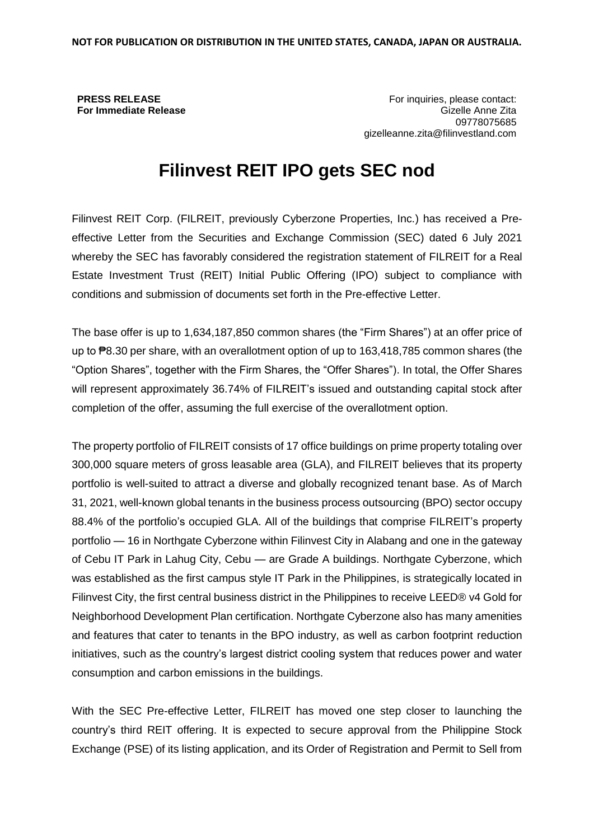**PRESS RELEASE For Immediate Release**

For inquiries, please contact: Gizelle Anne Zita 09778075685 gizelleanne.zita@filinvestland.com

# **Filinvest REIT IPO gets SEC nod**

Filinvest REIT Corp. (FILREIT, previously Cyberzone Properties, Inc.) has received a Preeffective Letter from the Securities and Exchange Commission (SEC) dated 6 July 2021 whereby the SEC has favorably considered the registration statement of FILREIT for a Real Estate Investment Trust (REIT) Initial Public Offering (IPO) subject to compliance with conditions and submission of documents set forth in the Pre-effective Letter.

The base offer is up to 1,634,187,850 common shares (the "Firm Shares") at an offer price of up to ₱8.30 per share, with an overallotment option of up to 163,418,785 common shares (the "Option Shares", together with the Firm Shares, the "Offer Shares"). In total, the Offer Shares will represent approximately 36.74% of FILREIT's issued and outstanding capital stock after completion of the offer, assuming the full exercise of the overallotment option.

The property portfolio of FILREIT consists of 17 office buildings on prime property totaling over 300,000 square meters of gross leasable area (GLA), and FILREIT believes that its property portfolio is well-suited to attract a diverse and globally recognized tenant base. As of March 31, 2021, well-known global tenants in the business process outsourcing (BPO) sector occupy 88.4% of the portfolio's occupied GLA. All of the buildings that comprise FILREIT's property portfolio — 16 in Northgate Cyberzone within Filinvest City in Alabang and one in the gateway of Cebu IT Park in Lahug City, Cebu — are Grade A buildings. Northgate Cyberzone, which was established as the first campus style IT Park in the Philippines, is strategically located in Filinvest City, the first central business district in the Philippines to receive LEED® v4 Gold for Neighborhood Development Plan certification. Northgate Cyberzone also has many amenities and features that cater to tenants in the BPO industry, as well as carbon footprint reduction initiatives, such as the country's largest district cooling system that reduces power and water consumption and carbon emissions in the buildings.

With the SEC Pre-effective Letter, FILREIT has moved one step closer to launching the country's third REIT offering. It is expected to secure approval from the Philippine Stock Exchange (PSE) of its listing application, and its Order of Registration and Permit to Sell from